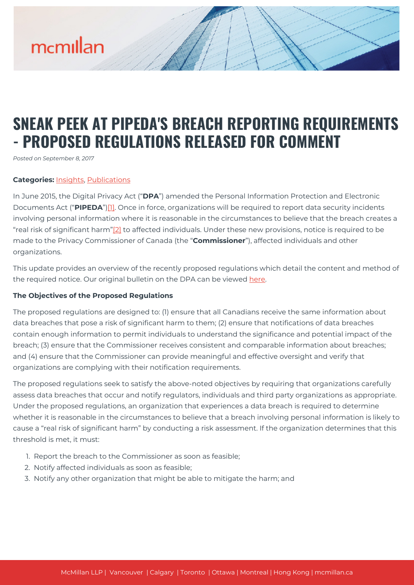# mcmillan

# **SNEAK PEEK AT PIPEDA'S BREACH REPORTING REQUIREMENTS - PROPOSED REGULATIONS RELEASED FOR COMMENT**

*Posted on September 8, 2017*

# **Categories:** [Insights,](https://mcmillan.ca/insights/) [Publications](https://mcmillan.ca/insights/publications/)

In June 2015, the Digital Privacy Act ("**DPA**") amended the Personal Information Protection and Electronic Documents Act ("**PIPEDA**")[\[1\].](#page--1-0) Once in force, organizations will be required to report data security incidents involving personal information where it is reasonable in the circumstances to believe that the breach creates a "real risk of significant harm["\[2\]](#page--1-0) to affected individuals. Under these new provisions, notice is required to be made to the Privacy Commissioner of Canada (the "**Commissioner**"), affected individuals and other organizations.

This update provides an overview of the recently proposed regulations which detail the content and method of the required notice. Our original bulletin on the DPA can be viewed [here](https://mcmillan.ca/wp-content/uploads/2017/09/182117_PIPEDA-Changes-Finally-Pass.pd_.pdf).

#### **The Objectives of the Proposed Regulations**

The proposed regulations are designed to: (1) ensure that all Canadians receive the same information about data breaches that pose a risk of significant harm to them; (2) ensure that notifications of data breaches contain enough information to permit individuals to understand the significance and potential impact of the breach; (3) ensure that the Commissioner receives consistent and comparable information about breaches; and (4) ensure that the Commissioner can provide meaningful and effective oversight and verify that organizations are complying with their notification requirements.

The proposed regulations seek to satisfy the above-noted objectives by requiring that organizations carefully assess data breaches that occur and notify regulators, individuals and third party organizations as appropriate. Under the proposed regulations, an organization that experiences a data breach is required to determine whether it is reasonable in the circumstances to believe that a breach involving personal information is likely to cause a "real risk of significant harm" by conducting a risk assessment. If the organization determines that this threshold is met, it must:

- 1. Report the breach to the Commissioner as soon as feasible;
- 2. Notify affected individuals as soon as feasible;
- 3. Notify any other organization that might be able to mitigate the harm; and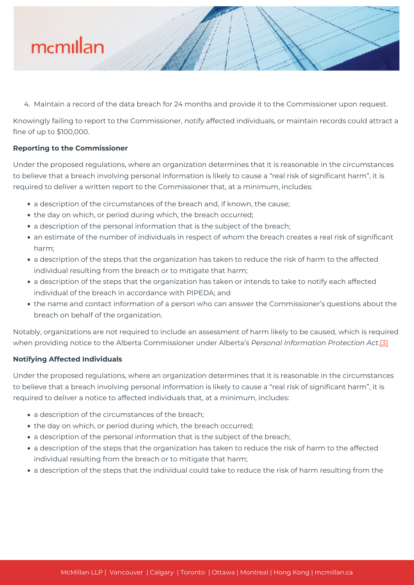

4. Maintain a record of the data breach for 24 months and provide it to the Commissioner upon request.

Knowingly failing to report to the Commissioner, notify affected individuals, or maintain records could attract a fine of up to \$100,000.

# **Reporting to the Commissioner**

Under the proposed regulations, where an organization determines that it is reasonable in the circumstances to believe that a breach involving personal information is likely to cause a "real risk of significant harm", it is required to deliver a written report to the Commissioner that, at a minimum, includes:

- a description of the circumstances of the breach and, if known, the cause;
- the day on which, or period during which, the breach occurred;
- a description of the personal information that is the subject of the breach;
- an estimate of the number of individuals in respect of whom the breach creates a real risk of significant harm;
- a description of the steps that the organization has taken to reduce the risk of harm to the affected individual resulting from the breach or to mitigate that harm;
- a description of the steps that the organization has taken or intends to take to notify each affected individual of the breach in accordance with PIPEDA; and
- the name and contact information of a person who can answer the Commissioner's questions about the breach on behalf of the organization.

Notably, organizations are not required to include an assessment of harm likely to be caused, which is required when providing notice to the Alberta Commissioner under Alberta's *Personal Information Protection Act*[.\[3\]](#page--1-0)

#### **Notifying Affected Individuals**

Under the proposed regulations, where an organization determines that it is reasonable in the circumstances to believe that a breach involving personal information is likely to cause a "real risk of significant harm", it is required to deliver a notice to affected individuals that, at a minimum, includes:

- a description of the circumstances of the breach;
- the day on which, or period during which, the breach occurred;
- a description of the personal information that is the subject of the breach;
- a description of the steps that the organization has taken to reduce the risk of harm to the affected individual resulting from the breach or to mitigate that harm;
- a description of the steps that the individual could take to reduce the risk of harm resulting from the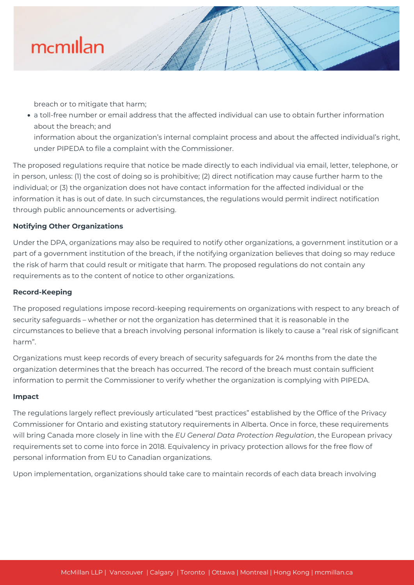

breach or to mitigate that harm;

a toll-free number or email address that the affected individual can use to obtain further information about the breach; and

information about the organization's internal complaint process and about the affected individual's right, under PIPEDA to file a complaint with the Commissioner.

The proposed regulations require that notice be made directly to each individual via email, letter, telephone, or in person, unless: (1) the cost of doing so is prohibitive; (2) direct notification may cause further harm to the individual; or (3) the organization does not have contact information for the affected individual or the information it has is out of date. In such circumstances, the regulations would permit indirect notification through public announcements or advertising.

# **Notifying Other Organizations**

Under the DPA, organizations may also be required to notify other organizations, a government institution or a part of a government institution of the breach, if the notifying organization believes that doing so may reduce the risk of harm that could result or mitigate that harm. The proposed regulations do not contain any requirements as to the content of notice to other organizations.

#### **Record-Keeping**

The proposed regulations impose record-keeping requirements on organizations with respect to any breach of security safeguards – whether or not the organization has determined that it is reasonable in the circumstances to believe that a breach involving personal information is likely to cause a "real risk of significant harm".

Organizations must keep records of every breach of security safeguards for 24 months from the date the organization determines that the breach has occurred. The record of the breach must contain sufficient information to permit the Commissioner to verify whether the organization is complying with PIPEDA.

#### **Impact**

The regulations largely reflect previously articulated "best practices" established by the Office of the Privacy Commissioner for Ontario and existing statutory requirements in Alberta. Once in force, these requirements will bring Canada more closely in line with the *EU General Data Protection Regulation*, the European privacy requirements set to come into force in 2018. Equivalency in privacy protection allows for the free flow of personal information from EU to Canadian organizations.

Upon implementation, organizations should take care to maintain records of each data breach involving